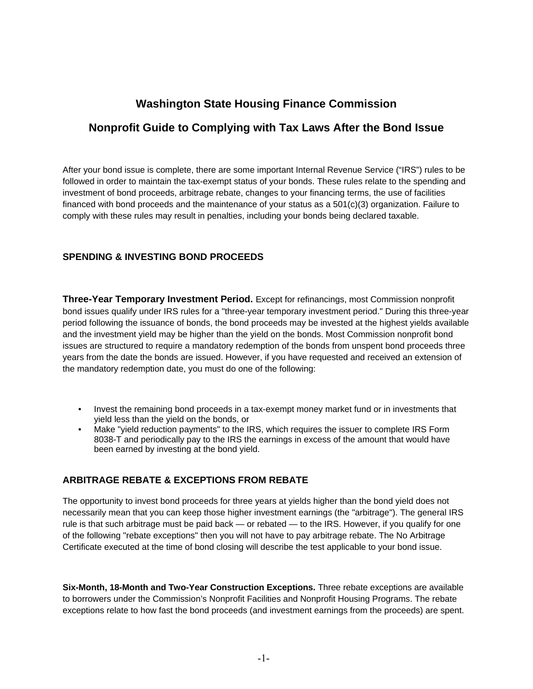# **Washington State Housing Finance Commission**

## **Nonprofit Guide to Complying with Tax Laws After the Bond Issue**

After your bond issue is complete, there are some important Internal Revenue Service ("IRS") rules to be followed in order to maintain the tax-exempt status of your bonds. These rules relate to the spending and investment of bond proceeds, arbitrage rebate, changes to your financing terms, the use of facilities financed with bond proceeds and the maintenance of your status as a 501(c)(3) organization. Failure to comply with these rules may result in penalties, including your bonds being declared taxable.

## **SPENDING & INVESTING BOND PROCEEDS**

**Three-Year Temporary Investment Period.** Except for refinancings, most Commission nonprofit bond issues qualify under IRS rules for a "three-year temporary investment period." During this three-year period following the issuance of bonds, the bond proceeds may be invested at the highest yields available and the investment yield may be higher than the yield on the bonds. Most Commission nonprofit bond issues are structured to require a mandatory redemption of the bonds from unspent bond proceeds three years from the date the bonds are issued. However, if you have requested and received an extension of the mandatory redemption date, you must do one of the following:

- Invest the remaining bond proceeds in a tax-exempt money market fund or in investments that yield less than the yield on the bonds, or
- Make "yield reduction payments" to the IRS, which requires the issuer to complete IRS Form 8038-T and periodically pay to the IRS the earnings in excess of the amount that would have been earned by investing at the bond yield.

#### **ARBITRAGE REBATE & EXCEPTIONS FROM REBATE**

The opportunity to invest bond proceeds for three years at yields higher than the bond yield does not necessarily mean that you can keep those higher investment earnings (the "arbitrage"). The general IRS rule is that such arbitrage must be paid back — or rebated — to the IRS. However, if you qualify for one of the following "rebate exceptions" then you will not have to pay arbitrage rebate. The No Arbitrage Certificate executed at the time of bond closing will describe the test applicable to your bond issue.

**Six-Month, 18-Month and Two-Year Construction Exceptions.** Three rebate exceptions are available to borrowers under the Commission's Nonprofit Facilities and Nonprofit Housing Programs. The rebate exceptions relate to how fast the bond proceeds (and investment earnings from the proceeds) are spent.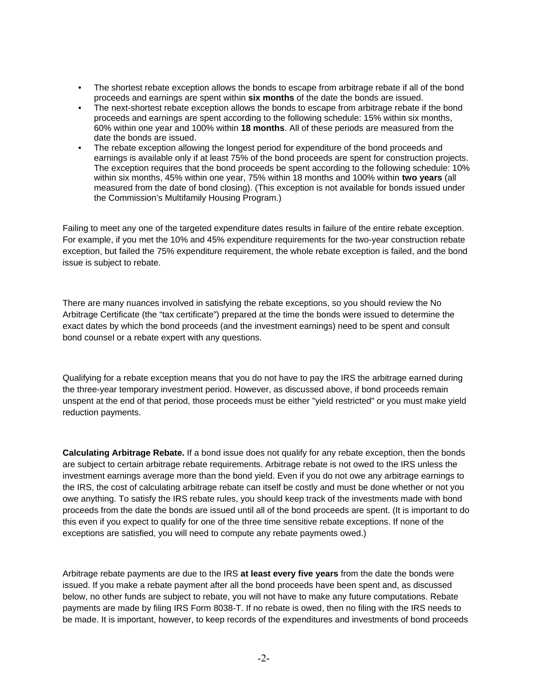- The shortest rebate exception allows the bonds to escape from arbitrage rebate if all of the bond proceeds and earnings are spent within **six months** of the date the bonds are issued.
- The next-shortest rebate exception allows the bonds to escape from arbitrage rebate if the bond proceeds and earnings are spent according to the following schedule: 15% within six months, 60% within one year and 100% within **18 months**. All of these periods are measured from the date the bonds are issued.
- The rebate exception allowing the longest period for expenditure of the bond proceeds and earnings is available only if at least 75% of the bond proceeds are spent for construction projects. The exception requires that the bond proceeds be spent according to the following schedule: 10% within six months, 45% within one year, 75% within 18 months and 100% within **two years** (all measured from the date of bond closing). (This exception is not available for bonds issued under the Commission's Multifamily Housing Program.)

Failing to meet any one of the targeted expenditure dates results in failure of the entire rebate exception. For example, if you met the 10% and 45% expenditure requirements for the two-year construction rebate exception, but failed the 75% expenditure requirement, the whole rebate exception is failed, and the bond issue is subject to rebate.

There are many nuances involved in satisfying the rebate exceptions, so you should review the No Arbitrage Certificate (the "tax certificate") prepared at the time the bonds were issued to determine the exact dates by which the bond proceeds (and the investment earnings) need to be spent and consult bond counsel or a rebate expert with any questions.

Qualifying for a rebate exception means that you do not have to pay the IRS the arbitrage earned during the three-year temporary investment period. However, as discussed above, if bond proceeds remain unspent at the end of that period, those proceeds must be either "yield restricted" or you must make yield reduction payments.

**Calculating Arbitrage Rebate.** If a bond issue does not qualify for any rebate exception, then the bonds are subject to certain arbitrage rebate requirements. Arbitrage rebate is not owed to the IRS unless the investment earnings average more than the bond yield. Even if you do not owe any arbitrage earnings to the IRS, the cost of calculating arbitrage rebate can itself be costly and must be done whether or not you owe anything. To satisfy the IRS rebate rules, you should keep track of the investments made with bond proceeds from the date the bonds are issued until all of the bond proceeds are spent. (It is important to do this even if you expect to qualify for one of the three time sensitive rebate exceptions. If none of the exceptions are satisfied, you will need to compute any rebate payments owed.)

Arbitrage rebate payments are due to the IRS **at least every five years** from the date the bonds were issued. If you make a rebate payment after all the bond proceeds have been spent and, as discussed below, no other funds are subject to rebate, you will not have to make any future computations. Rebate payments are made by filing IRS Form 8038-T. If no rebate is owed, then no filing with the IRS needs to be made. It is important, however, to keep records of the expenditures and investments of bond proceeds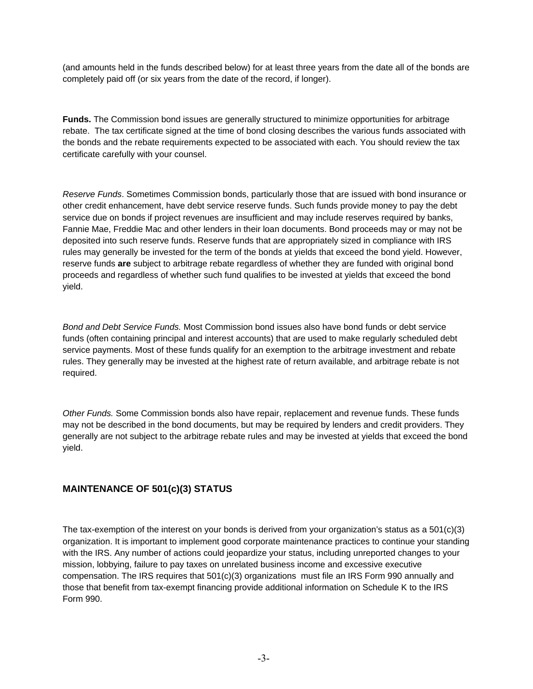(and amounts held in the funds described below) for at least three years from the date all of the bonds are completely paid off (or six years from the date of the record, if longer).

**Funds.** The Commission bond issues are generally structured to minimize opportunities for arbitrage rebate. The tax certificate signed at the time of bond closing describes the various funds associated with the bonds and the rebate requirements expected to be associated with each. You should review the tax certificate carefully with your counsel.

*Reserve Funds*. Sometimes Commission bonds, particularly those that are issued with bond insurance or other credit enhancement, have debt service reserve funds. Such funds provide money to pay the debt service due on bonds if project revenues are insufficient and may include reserves required by banks, Fannie Mae, Freddie Mac and other lenders in their loan documents. Bond proceeds may or may not be deposited into such reserve funds. Reserve funds that are appropriately sized in compliance with IRS rules may generally be invested for the term of the bonds at yields that exceed the bond yield. However, reserve funds **are** subject to arbitrage rebate regardless of whether they are funded with original bond proceeds and regardless of whether such fund qualifies to be invested at yields that exceed the bond yield.

*Bond and Debt Service Funds.* Most Commission bond issues also have bond funds or debt service funds (often containing principal and interest accounts) that are used to make regularly scheduled debt service payments. Most of these funds qualify for an exemption to the arbitrage investment and rebate rules. They generally may be invested at the highest rate of return available, and arbitrage rebate is not required.

*Other Funds.* Some Commission bonds also have repair, replacement and revenue funds. These funds may not be described in the bond documents, but may be required by lenders and credit providers. They generally are not subject to the arbitrage rebate rules and may be invested at yields that exceed the bond yield.

## **MAINTENANCE OF 501(c)(3) STATUS**

The tax-exemption of the interest on your bonds is derived from your organization's status as a 501(c)(3) organization. It is important to implement good corporate maintenance practices to continue your standing with the IRS. Any number of actions could jeopardize your status, including unreported changes to your mission, lobbying, failure to pay taxes on unrelated business income and excessive executive compensation. The IRS requires that 501(c)(3) organizations must file an IRS Form 990 annually and those that benefit from tax-exempt financing provide additional information on Schedule K to the IRS Form 990.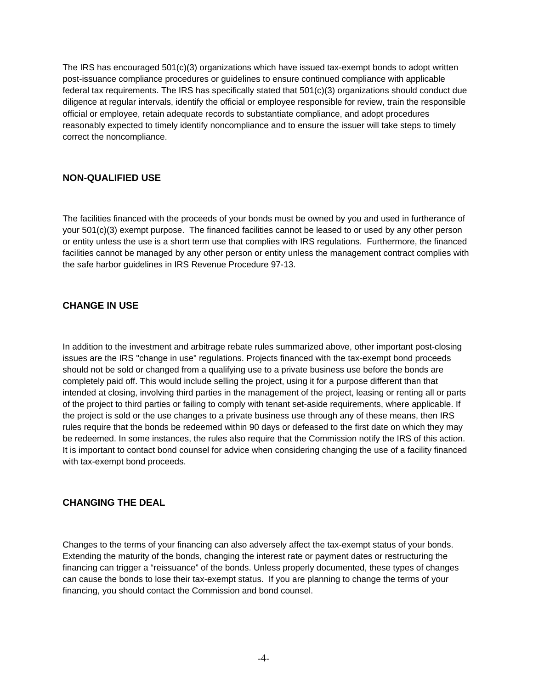The IRS has encouraged 501(c)(3) organizations which have issued tax-exempt bonds to adopt written post-issuance compliance procedures or guidelines to ensure continued compliance with applicable federal tax requirements. The IRS has specifically stated that 501(c)(3) organizations should conduct due diligence at regular intervals, identify the official or employee responsible for review, train the responsible official or employee, retain adequate records to substantiate compliance, and adopt procedures reasonably expected to timely identify noncompliance and to ensure the issuer will take steps to timely correct the noncompliance.

### **NON-QUALIFIED USE**

The facilities financed with the proceeds of your bonds must be owned by you and used in furtherance of your 501(c)(3) exempt purpose. The financed facilities cannot be leased to or used by any other person or entity unless the use is a short term use that complies with IRS regulations. Furthermore, the financed facilities cannot be managed by any other person or entity unless the management contract complies with the safe harbor guidelines in IRS Revenue Procedure 97-13.

#### **CHANGE IN USE**

In addition to the investment and arbitrage rebate rules summarized above, other important post-closing issues are the IRS "change in use" regulations. Projects financed with the tax-exempt bond proceeds should not be sold or changed from a qualifying use to a private business use before the bonds are completely paid off. This would include selling the project, using it for a purpose different than that intended at closing, involving third parties in the management of the project, leasing or renting all or parts of the project to third parties or failing to comply with tenant set-aside requirements, where applicable. If the project is sold or the use changes to a private business use through any of these means, then IRS rules require that the bonds be redeemed within 90 days or defeased to the first date on which they may be redeemed. In some instances, the rules also require that the Commission notify the IRS of this action. It is important to contact bond counsel for advice when considering changing the use of a facility financed with tax-exempt bond proceeds.

#### **CHANGING THE DEAL**

Changes to the terms of your financing can also adversely affect the tax-exempt status of your bonds. Extending the maturity of the bonds, changing the interest rate or payment dates or restructuring the financing can trigger a "reissuance" of the bonds. Unless properly documented, these types of changes can cause the bonds to lose their tax-exempt status. If you are planning to change the terms of your financing, you should contact the Commission and bond counsel.